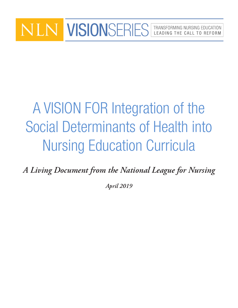# VISIONSERIES | TRANSFORMING NURSING EDUCATION LEADING THE CALL TO REFORM

# A VISION FOR Integration of the Social Determinants of Health into Nursing Education Curricula

*A Living Document from the National League for Nursing* 

*April 2019*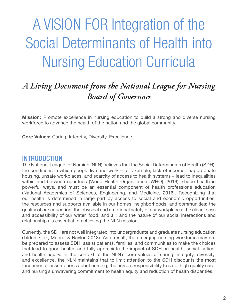# A VISION FOR Integration of the Social Determinants of Health into Nursing Education Curricula

# *A Living Document from the National League for Nursing Board of Governors*

**Mission:** Promote excellence in nursing education to build a strong and diverse nursing workforce to advance the health of the nation and the global community.

Core Values: Caring, Integrity, Diversity, Excellence

### INTRODUCTION

The National League for Nursing (NLN) believes that the Social Determinants of Health (SDH), the conditions in which people live and work – for example, lack of income, inappropriate housing, unsafe workplaces, and scarcity of access to health systems – lead to inequalities within and between countries (World Health Organization [WHO], 2016), shape health in powerful ways, and must be an essential component of health professions education (National Academies of Sciences, Engineering, and Medicine, 2016). Recognizing that our health is determined in large part by access to social and economic opportunities; the resources and supports available in our homes, neighborhoods, and communities; the quality of our education; the physical and emotional safety of our workplaces; the cleanliness and accessibility of our water, food, and air; and the nature of our social interactions and relationships is essential to achieving the NLN mission.

Currently, the SDH are not well integrated into undergraduate and graduate nursing education (Tilden, Cox, Moore, & Naylor, 2018). As a result, the emerging nursing workforce may not be prepared to assess SDH, assist patients, families, and communities to make the choices that lead to good health, and fully appreciate the impact of SDH on health, social justice, and health equity. In the context of the NLN's core values of caring, integrity, diversity, and excellence, the NLN maintains that to limit attention to the SDH discounts the most fundamental assumptions about nursing, the nurse's responsibility to safe, high quality care, and nursing's unwavering commitment to health equity and reduction of health disparities.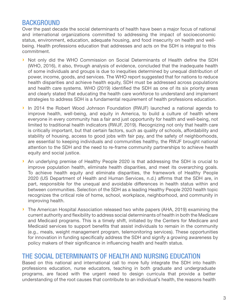# BACKGROUND

Over the past decade the social determinants of health have been a major focus of national and international organizations committed to addressing the impact of socioeconomic status, environment, education, adequate housing, and food insecurity on health and wellbeing. Health professions education that addresses and acts on the SDH is integral to this commitment.

- › Not only did the WHO Commission on Social Determinants of Health define the SDH (WHO, 2016), it also, through analysis of evidence, concluded that the inadequate health of some individuals and groups is due to inequities determined by unequal distribution of power, income, goods, and services. The WHO report suggested that for nations to reduce health disparities and achieve health equity, SDH must be addressed across populations and health care systems. WHO (2019) identified the SDH as one of its six priority areas and clearly stated that educating the health care workforce to understand and implement strategies to address SDH is a fundamental requirement of health professions education.
- › In 2014 the Robert Wood Johnson Foundation (RWJF) launched a national agenda to improve health, well-being, and equity in America, to build a culture of health where everyone in every community has a fair and just opportunity for health and well-being, not limited to traditional health indicators (RWJF, 2019). Recognizing not only that health care is critically important, but that certain factors, such as quality of schools, affordability and stability of housing, access to good jobs with fair pay, and the safety of neighborhoods, are essential to keeping individuals and communities healthy, the RWJF brought national attention to the SDH and the need to re-frame community partnerships to achieve health equity and social justice.
- › An underlying premise of Healthy People 2020 is that addressing the SDH is crucial to improve population health, eliminate health disparities, and meet its overarching goals. To achieve health equity and eliminate disparities, the framework of Healthy People 2020 (US Department of Health and Human Services, n.d.) affirms that the SDH are, in part, responsible for the unequal and avoidable differences in health status within and between communities. Selection of the SDH as a leading Healthy People 2020 health topic recognizes the critical role of home, school, workplace, neighborhood, and community in improving health.
- › The American Hospital Association released two white papers (AHA, 2019) examining the current authority and flexibility to address social determinants of health in both the Medicare and Medicaid programs. This is a timely shift, initiated by the Centers for Medicare and Medicaid services to support benefits that assist individuals to remain in the community (e.g., meals, weight management program, telemonitoring services). These opportunities for innovation in funding specifically address the SDH and signify a growing awareness by policy makers of their significance in influencing health and health status.

### THE SOCIAL DETERMINANTS OF HEALTH AND NURSING EDUCATION

Based on this national and international call to more fully integrate the SDH into health professions education, nurse educators, teaching in both graduate and undergraduate programs, are faced with the urgent need to design curricula that provide a better understanding of the root causes that contribute to an individual's health, the reasons health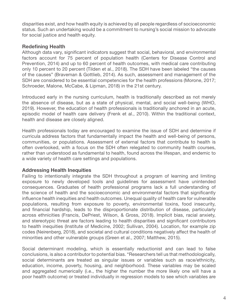disparities exist, and how health equity is achieved by all people regardless of socioeconomic status. Such an undertaking would be a commitment to nursing's social mission to advocate for social justice and health equity.

#### Redefining Health

Although data vary, significant indicators suggest that social, behavioral, and environmental factors account for 75 percent of population health (Centers for Disease Control and Prevention, 2014) and up to 60 percent of health outcomes, with medical care contributing only 10 percent to 20 percent (Tilden et al., 2018). The SDH have been labeled "the causes of the causes" (Braveman & Gottlieb, 2014). As such, assessment and management of the SDH are considered to be essential competencies for the health professions (Morone, 2017; Schroeder, Malone, McCabe, & Lipman, 2018) in the 21st century.

Introduced early in the nursing curriculum, health is traditionally described as not merely the absence of disease, but as a state of physical, mental, and social well-being (WHO, 2019). However, the education of health professionals is traditionally anchored in an acute, episodic model of health care delivery (Frenk et al., 2010). Within the traditional context, health and disease are closely aligned.

Health professionals today are encouraged to examine the issue of SDH and determine if curricula address factors that fundamentally impact the health and well-being of persons, communities, or populations. Assessment of external factors that contribute to health is often overlooked, with a focus on the SDH often relegated to community health courses, rather than understood as fundamental to health, found across the lifespan, and endemic to a wide variety of health care settings and populations.

#### Addressing Health Inequities

Failing to intentionally integrate the SDH throughout a program of learning and limiting exposure to newly developed tools and guidelines for assessment have unintended consequences. Graduates of health professional programs lack a full understanding of the science of health and the socioeconomic and environmental factors that significantly influence health inequities and health outcomes. Unequal quality of health care for vulnerable populations, resulting from exposure to poverty, environmental toxins, food insecurity, and financial hardship, leads to the disproportionate distribution of disease, particularly across ethnicities (Francis, DePriest, Wilson, & Gross, 2018). Implicit bias, racial anxiety, and stereotypic threat are factors leading to health disparities and significant contributors to health inequities (Institute of Medicine, 2002; Sullivan, 2004). Location, for example zip codes (Neirenberg, 2018), and societal and cultural conditions negatively affect the health of minorities and other vulnerable groups (Green et al., 2007; Matthew, 2015).

Social determinant modeling, which is essentially reductionist and can lead to false conclusions, is also a contributor to potential bias. "Researchers tell us that methodologically, social determinants are treated as singular issues or variables such as race/ethnicity, education, income, poverty, housing, and neighborhood. These variables may be scaled and aggregated numerically (i.e., the higher the number the more likely one will have a poor health outcome) or treated individually in regression models to see which variables are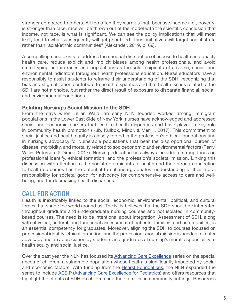stronger compared to others. All too often they warn us that, because income (i.e., poverty) is stronger than race, race will be thrown out of the model with the scientific conclusion that income, not race, is what is significant. We can see the policy implications that will most likely lead to what subsequently will get prioritized. Thus, initiatives will target social strata rather than racial/ethnic communities" (Alexander, 2019, p. 69).

A compelling need exists to address the unequal distribution of access to health and quality health care, reduce explicit and implicit biases among health professionals, and avoid stereotyping certain races and populations as the sole recipients of adverse, social, and environmental indicators throughout health professions education. Nurse educators have a responsibly to assist students to reframe their understanding of the SDH, recognizing that bias and stigmatization contribute to health disparities and that health issues related to the SDH are not a choice, but rather the direct result of exposure to disparate financial, social, and environmental conditions.

#### Relating Nursing's Social Mission to the SDH

From the days when Lillian Wald, an early NLN founder, worked among immigrant populations in the Lower East Side of New York, nurses have acknowledged and addressed social and economic barriers that lead to health disparities and have played a key role in community health promotion (Kub, Kulbok, Minor, & Merrill, 2017). This commitment to social justice and health equity is closely rooted in the profession's ethical foundations and in nursing's advocacy for vulnerable populations that bear the disproportional burden of disease, morbidity, and mortality related to socioeconomic and environmental factors (Perry, Willis, Peterson, & Grace, 2017). Nursing education has always included a strong focus on professional identify, ethical formation, and the profession's societal mission. Linking this discussion with attention to the social determinants of health and their strong connection to health outcomes has the potential to enhance graduates' understanding of their moral responsibility for societal good, for advocacy for comprehensive access to care and wellbeing, and for decreasing health disparities.

## CALL FOR ACTION

Health is inextricably linked to the social, economic, environmental, political, and cultural forces that shape the world around us. The NLN believes that the SDH should be integrated throughout graduate and undergraduate nursing courses and not isolated in communitybased courses. The need is to be intentional about integration. Assessment of SDH, along with physical, cultural, and functional assessment of patients, families, and communities, is an essential competency for graduates. Moreover, aligning the SDH to courses focused on professional identity, ethical formation, and the profession's social mission is needed to foster advocacy and an appreciation by students and graduates of nursing's moral responsibility to health equity and social justice.

Over the past year the NLN has focused its [Advancing Care Excellence](http://www.nln.org/professional-development-programs/teaching-resources/advancing-care-excellence-series) series on the special needs of children, a vulnerable population whose health is significantly impacted by social and economic factors. With funding from the [Hearst Foundations,](https://www.hearstfdn.org/) the NLN expanded the series to include **ACE.P** (Advancing Care Excellence for Pediatrics) and offers resources that highlight the effects of SDH on children and their families in community settings. Resources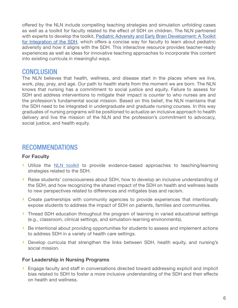offered by the NLN include compelling teaching strategies and simulation unfolding cases as well as a toolkit for faculty related to the effect of SDH on children. The NLN partnered with experts to develop the toolkit, [Pediatric Adversity and Early Brain Development: A Toolkit](http://www.nln.org/professional-development-programs/teaching-resources/ace-p/pediatric-adversity-and-early-brain-development-a-toolkit-for-the-integration-of-social-determinants-of-health-into-curricula)  [for Integration of the SDH,](http://www.nln.org/professional-development-programs/teaching-resources/ace-p/pediatric-adversity-and-early-brain-development-a-toolkit-for-the-integration-of-social-determinants-of-health-into-curricula) which offers a concise way for faculty to learn about pediatric adversity and how it aligns with the SDH. This interactive resource provides teacher-ready experiences as well as ideas for innovative teaching approaches to incorporate this content into existing curricula in meaningful ways.

### **CONCLUSION**

The NLN believes that health, wellness, and disease start in the places where we live, work, play, pray, and age. Our path to health starts from the moment we are born. The NLN knows that nursing has a commitment to social justice and equity. Failure to assess for SDH and address interventions to mitigate their impact is counter to who nurses are and the profession's fundamental social mission. Based on this belief, the NLN maintains that the SDH need to be integrated in undergraduate and graduate nursing courses. In this way graduates of nursing programs will be positioned to actualize an inclusive approach to health delivery and live the mission of the NLN and the profession's commitment to advocacy, social justice, and health equity.

# RECOMMENDATIONS

#### For Faculty

- › Utilize the [NLN toolkit](http://www.nln.org/professional-development-programs/teaching-resources/ace-p/pediatric-adversity-and-early-brain-development-a-toolkit-for-the-integration-of-social-determinants-of-health-into-curricula) to provide evidence-based approaches to teaching/learning strategies related to the SDH.
- › Raise students' consciousness about SDH, how to develop an inclusive understanding of the SDH, and how recognizing the shared impact of the SDH on health and wellness leads to new perspectives related to differences and mitigates bias and racism.
- › Create partnerships with community agencies to provide experiences that intentionally expose students to address the impact of SDH on patients, families and communities.
- › Thread SDH education throughout the program of learning in varied educational settings (e.g., classroom, clinical settings, and simulation-learning environments).
- › Be intentional about providing opportunities for students to assess and implement actions to address SDH in a variety of health care settings.
- › Develop curricula that strengthen the links between SDH, health equity, and nursing's social mission.

#### For Leadership in Nursing Programs

› Engage faculty and staff in conversations directed toward addressing explicit and implicit bias related to SDH to foster a more inclusive understanding of the SDH and their effects on health and wellness.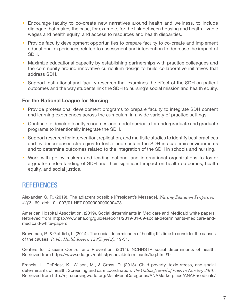- › Encourage faculty to co-create new narratives around health and wellness, to include dialogue that makes the case, for example, for the link between housing and health, livable wages and health equity, and access to resources and health disparities.
- › Provide faculty development opportunities to prepare faculty to co-create and implement educational experiences related to assessment and intervention to decrease the impact of SDH.
- › Maximize educational capacity by establishing partnerships with practice colleagues and the community around innovative curriculum design to build collaborative initiatives that address SDH.
- › Support institutional and faculty research that examines the effect of the SDH on patient outcomes and the way students link the SDH to nursing's social mission and health equity.

#### For the National League for Nursing

- › Provide professional development programs to prepare faculty to integrate SDH content and learning experiences across the curriculum in a wide variety of practice settings.
- › Continue to develop faculty resources and model curricula for undergraduate and graduate programs to intentionally integrate the SDH.
- › Support research for intervention, replication, and multisite studies to identify best practices and evidence-based strategies to foster and sustain the SDH in academic environments and to determine outcomes related to the integration of the SDH in schools and nursing.
- › Work with policy makers and leading national and international organizations to foster a greater understanding of SDH and their significant impact on health outcomes, health equity, and social justice.

# **REFERENCES**

Alexander, G. R. (2019). The adjacent possible [President's Message]. *Nursing Education Perspectives, 41(2)*, 69. doi: 10.1097/01.NEP.0000000000000478

American Hospital Association. (2019). Social determinants in Medicare and Medicaid white papers. Retrieved from https://www.aha.org/guidesreports/2019-01-09-social-determinants-medicare-andmedicaid-white-papers

Braveman, P., & Gottlieb, L. (2014). The social determinants of health; It's time to consider the causes of the causes. *Public Health Report, 129(Suppl 2)*, 19-31.

Centers for Disease Control and Prevention. (2014). NCHHSTP social determinants of health. Retrieved from https://www.cdc.gov/nchhstp/socialdeterminants/faq.html#b

Francis, L., DePriest, K., Wilson, M., & Gross, D. (2018). Child poverty, toxic stress, and social determinants of health: Screening and care coordination. *The Online Journal of Issues in Nursing, 23(3)*. Retrieved from http://ojin.nursingworld.org/MainMenuCategories/ANAMarketplace/ANAPeriodicals/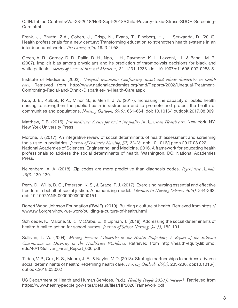OJIN/TableofContents/Vol-23-2018/No3-Sept-2018/Child-Poverty-Toxic-Stress-SDOH-Screening-Care.html

Frenk, J., Bhutta, Z.A., Cohen, J., Crisp, N., Evans, T., Fineberg, H., … Serwadda, D. (2010). Health professionals for a new century: Transforming education to strengthen health systems in an interdependent world. *The Lancet, 376,* 1923-1958.

Green, A. R., Carney, D. R., Pallin, D. H., Ngo, L. H., Raymond, K. L., Lezzoni, L.I., & Banaji, M. R. (2007). Implicit bias among physicians and its prediction of thrombolysis decisions for black and white patients. *Society of General Internal Medicine, 22*, 1231-1238. doi: 10.1007/s11606-007-0258-5

Institute of Medicine. (2002). *Unequal treatment: Confronting racial and ethnic disparities in health care.* Retrieved from http://www.nationalacademies.org/hmd/Reports/2002/Unequal-Treatment-Confronting-Racial-and-Ethnic-Disparities-in-Health-Care.aspx

Kub, J. E., Kulbok, P. A., Minor, S., & Merrill, J. A. (2017). Increasing the capacity of public health nursing to strengthen the public health infrastructure and to promote and protect the health of communities and populations. *Nursing Outlook, 65(5)*, 661-664. doi: 10.1016/j.outlook.2017.08.009

Matthew, D.B. (2015). *Just medicine: A cure for racial inequality in American Health care*. New York, NY: New York University Press.

Morone, J. (2017). An integrative review of social determinants of health assessment and screening tools used in pediatrics. *Journal of Pediatric Nursing, 37, 22-28*. doi: 10.1016/j.pedn.2017.08.022 National Academies of Sciences, Engineering, and Medicine. 2016. A framework for educating health professionals to address the social determinants of health. Washington, DC: National Academies Press.

Neirenberg, A. A. (2018). Zip codes are more predictive than diagnosis codes. *Psychiatric Annals, 48(3)* 130-130.

Perry, D., Willis, D. G., Peterson, K. S., & Grace, P. J. (2017). Exercising nursing essential and effective freedom in behalf of social justice: A humanizing model. *Advances in Nursing Science, 40(3),* 244-262. doi: 10.1097/ANS.0000000000000151

Robert Wood Johnson Foundation (RWJF). (2019). Building a culture of health. Retrieved from https:// www.rwjf.org/en/how-we-work/building-a-culture-of-health.html

Schroeder, K., Malone, S. K., McCabe, E., & Lipman, T. (2018). Addressing the social determinants of health: A call to action for school nurses. *Journal of School Nursing, 34(3)*, 182-191.

Sullivan, L. W. (2004). *Missing Persons: Minorities in the Health Professions, A Report of the Sullivan Commission on Diversity in the Healthcare Workforce.* Retrieved from http://health-equity.lib.umd. edu/40/1/Sullivan\_Final\_Report\_000.pdf

Tilden, V. P., Cox, K. S., Moore, J. E., & Naylor, M.D. (2018). Strategic partnerships to address adverse social determinants of health: Redefining health care. *Nursing Outlook, 66(3),* 233-236. doi:10.1016/j. outlook.2018.03.002

US Department of Health and Human Services. (n.d.). *Healthy People 2020 framework.* Retrieved from https://www.healthypeople.gov/sites/default/files/HP2020Framework.pdf